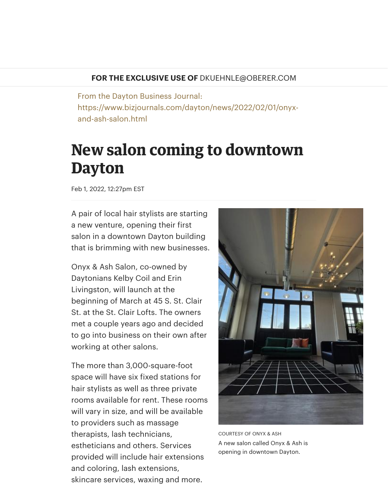## **FOR THE EXCLUSIVE USE OF** DKUEHNLE@OBERER.COM

From the Dayton Business Journal: https://www.bizjournals.com/dayton/news/2022/02/01/onyxand-ash-salon.html

## **New salon coming to downtown Dayton**

Feb 1, 2022, 12:27pm EST

A pair of local hair stylists are starting a new venture, opening their first salon in a downtown Dayton building that is brimming with new businesses.

Onyx & Ash Salon, co-owned by Daytonians Kelby Coil and Erin Livingston, will launch at the beginning of March at 45 S. St. Clair St. at the St. Clair Lofts. The owners met a couple years ago and decided to go into business on their own after working at other salons.

The more than 3,000-square-foot space will have six fixed stations for hair stylists as well as three private rooms available for rent. These rooms will vary in size, and will be available to providers such as massage therapists, lash technicians, estheticians and others. Services provided will include hair extensions and coloring, lash extensions, skincare services, waxing and more.



COURTESY OF ONYX & ASH A new salon called Onyx & Ash is opening in downtown Dayton.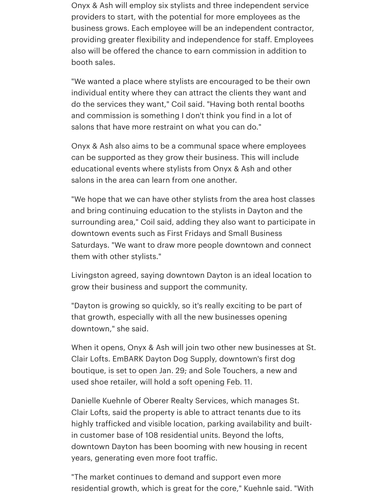Onyx & Ash will employ six stylists and three independent service providers to start, with the potential for more employees as the business grows. Each employee will be an independent contractor, providing greater flexibility and independence for staff. Employees also will be offered the chance to earn commission in addition to booth sales.

"We wanted a place where stylists are encouraged to be their own individual entity where they can attract the clients they want and do the services they want," Coil said. "Having both rental booths and commission is something I don't think you find in a lot of salons that have more restraint on what you can do."

Onyx & Ash also aims to be a communal space where employees can be supported as they grow their business. This will include educational events where stylists from Onyx & Ash and other salons in the area can learn from one another.

"We hope that we can have other stylists from the area host classes and bring continuing education to the stylists in Dayton and the surrounding area," Coil said, adding they also want to participate in downtown events such as First Fridays and Small Business Saturdays. "We want to draw more people downtown and connect them with other stylists."

Livingston agreed, saying downtown Dayton is an ideal location to grow their business and support the community.

"Dayton is growing so quickly, so it's really exciting to be part of that growth, especially with all the new businesses opening downtown," she said.

When it opens, Onyx & Ash will join two other new businesses at St. Clair Lofts. EmBARK Dayton Dog Supply, downtown's first dog boutique, is set to [open](https://www.bizjournals.com/dayton/news/2022/01/22/embark-dayton-dog-supply.html) Jan. 29; and Sole Touchers, a new and used shoe retailer, will hold a soft [opening](https://www.bizjournals.com/dayton/news/2022/01/26/sole-touchers.html) Feb. 11.

Danielle Kuehnle of Oberer Realty Services, which manages St. Clair Lofts, said the property is able to attract tenants due to its highly trafficked and visible location, parking availability and builtin customer base of 108 residential units. Beyond the lofts, downtown Dayton has been booming with new housing in recent years, generating even more foot traffic.

"The market continues to demand and support even more residential growth, which is great for the core," Kuehnle said. "With